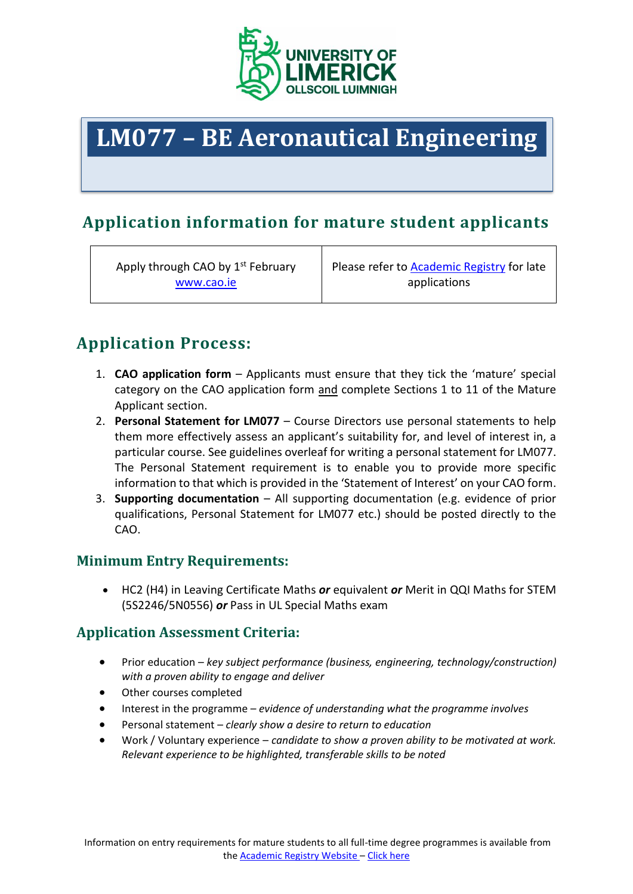

# **LM077 – BE Aeronautical Engineering**

# **Application information for mature student applicants**

Apply through CAO by 1<sup>st</sup> February [www.cao.ie](http://www.cao.ie/)

Please refer to [Academic Registry](https://www.ul.ie/academic-registry/prospective-students/applying-ul) for late applications

# **Application Process:**

- 1. **CAO application form** Applicants must ensure that they tick the 'mature' special category on the CAO application form and complete Sections 1 to 11 of the Mature Applicant section.
- 2. **Personal Statement for LM077** Course Directors use personal statements to help them more effectively assess an applicant's suitability for, and level of interest in, a particular course. See guidelines overleaf for writing a personal statement for LM077. The Personal Statement requirement is to enable you to provide more specific information to that which is provided in the 'Statement of Interest' on your CAO form.
- 3. **Supporting documentation** All supporting documentation (e.g. evidence of prior qualifications, Personal Statement for LM077 etc.) should be posted directly to the CAO.

#### **Minimum Entry Requirements:**

 HC2 (H4) in Leaving Certificate Maths *or* equivalent *or* Merit in QQI Maths for STEM (5S2246/5N0556) *or* Pass in UL Special Maths exam

#### **Application Assessment Criteria:**

- Prior education *key subject performance (business, engineering, technology/construction) with a proven ability to engage and deliver*
- Other courses completed
- Interest in the programme *evidence of understanding what the programme involves*
- Personal statement *clearly show a desire to return to education*
- Work / Voluntary experience *candidate to show a proven ability to be motivated at work. Relevant experience to be highlighted, transferable skills to be noted*